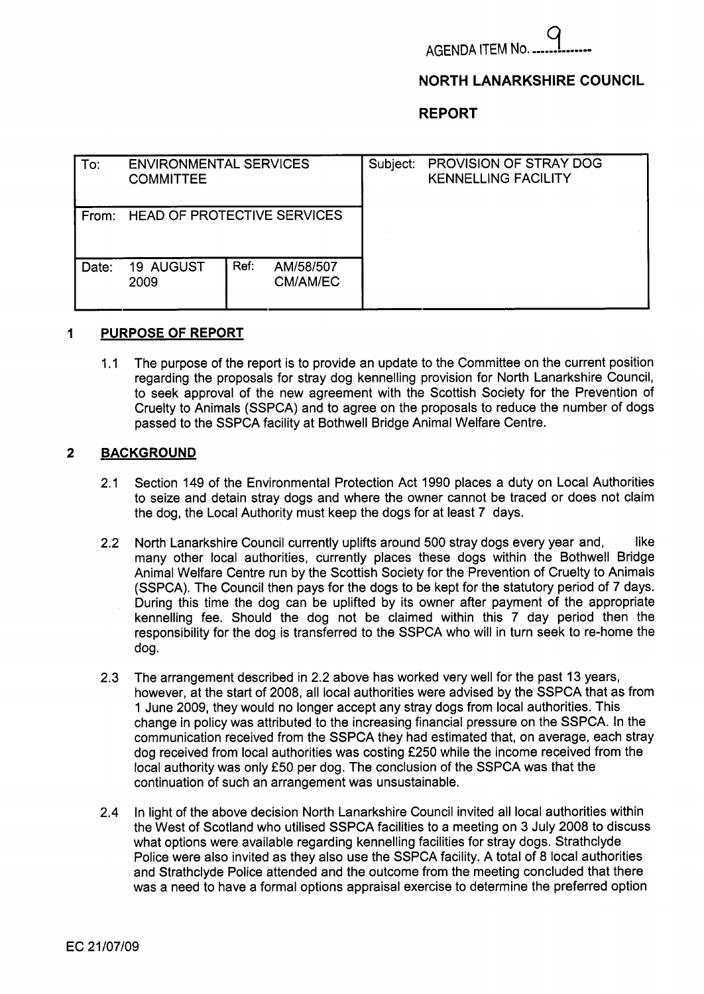

## **NORTH LANARKSHIRE COUNCIL**

### **REPORT**

| To:   | <b>ENVIRONMENTAL SERVICES</b><br><b>COMMITTEE</b> |      |                       | Subject: | PROVISION OF STRAY DOG<br><b>KENNELLING FACILITY</b> |  |
|-------|---------------------------------------------------|------|-----------------------|----------|------------------------------------------------------|--|
| From: | <b>HEAD OF PROTECTIVE SERVICES</b>                |      |                       |          |                                                      |  |
| Date: | 19 AUGUST<br>2009                                 | Ref: | AM/58/507<br>CM/AM/EC |          |                                                      |  |

### **1 PURPOSE OF REPORT**

1.1 The purpose of the report is to provide an update to the Committee on the current position regarding the proposals for stray dog kennelling provision for North Lanarkshire Council, to seek approval of the new agreement with the Scottish Society for the Prevention of Cruelty to Animals (SSPCA) and to agree on the proposals to reduce the number of dogs passed to the SSPCA facility at Bothwell Bridge Animal Welfare Centre.

## **2 BACKGROUND**

- 2.1 Section 149 of the Environmental Protection Act 1990 places a duty on Local Authorities to seize and detain stray dogs and where the owner cannot be traced or does not claim the dog, the Local Authority must keep the dogs for at least 7 days.
- 2.2 North Lanarkshire Council currently uplifts around 500 stray dogs every year and, like many other local authorities, currently places these dogs within the Bothwell Bridge Animal Welfare Centre run by the Scottish Society for the Prevention of Cruelty to Animals (SSPCA). The Council then pays for the dogs to be kept for the statutory period of 7 days. During this time the dog can be uplifted by its owner after payment of the appropriate kennelling fee. Should the dog not be claimed within this 7 day period then the responsibility for the dog is transferred to the SSPCA who will in turn seek to re-home the dog.
- 2.3 The arrangement described in 2.2 above has worked very well for the past 13 years, however, at the start of 2008, all local authorities were advised by the SSPCA that as from 1 June 2009, they would no longer accept any stray dogs from local authorities. This change in policy was attributed to the increasing financial pressure on the SSPCA. In the communication received from the SSPCA they had estimated that, on average, each stray dog received from local authorities was costing €250 while the income received from the local authority was only €50 per dog. The conclusion of the SSPCA was that the continuation of such an arrangement was unsustainable.
- 2.4 In light of the above decision North Lanarkshire Council invited all local authorities within the West of Scotland who utilised SSPCA facilities to a meeting on 3 July 2008 to discuss what options were available regarding kennelling facilities for stray dogs. Strathclyde Police were also invited as they also use the SSPCA facility. A total of 8 local authorities and Strathclyde Police attended and the outcome from the meeting concluded that there was a need to have a formal options appraisal exercise to determine the preferred option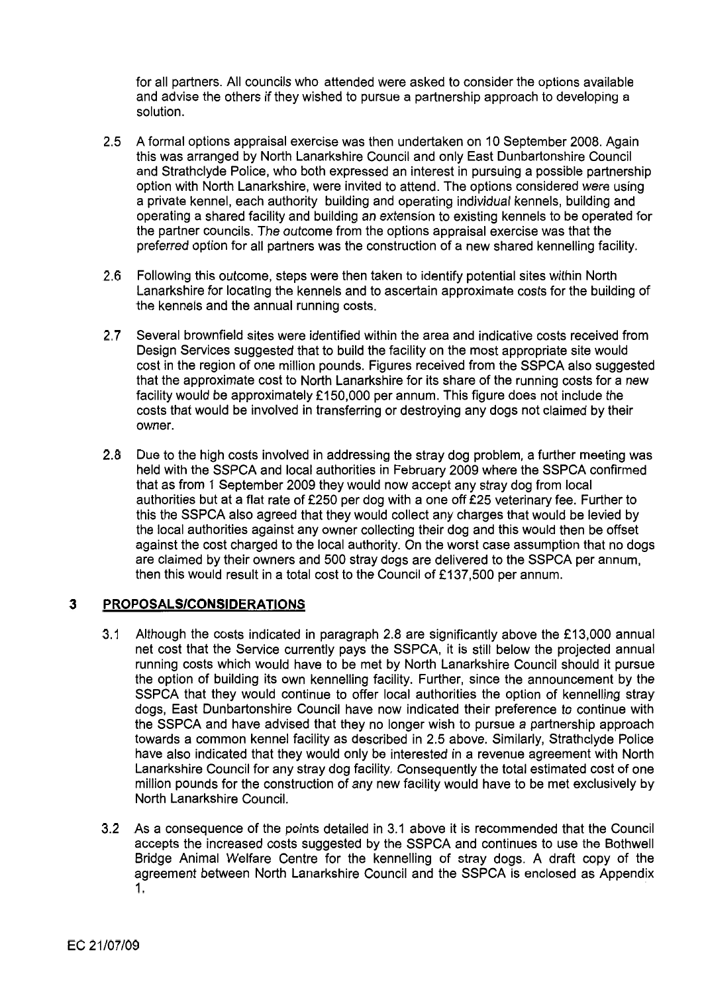for all partners. All councils who attended were asked to consider the options available and advise the others if they wished to pursue a partnership approach to developing a solution.

- **2.5** A formal options appraisal exercise was then undertaken on **10** September **2008.** Again this was arranged by North Lanarkshire Council and only East Dunbartonshire Council and Strathclyde Police, who both expressed an interest in pursuing a possible partnership option with North Lanarkshire, were invited to attend. The options considered were using a private kennel, each authority building and operating individual kennels, building and operating a shared facility and building an extension to existing kennels to be operated for the partner councils. The outcome from the options appraisal exercise was that the preferred option for all partners was the construction of a new shared kennelling facility.
- **2.6** Following this outcome, steps were then taken to identify potential sites within North Lanarkshire for locating the kennels and to ascertain approximate costs for the building of the kennels and the annual running costs.
- **2.7** Several brownfield sites were identified within the area and indicative costs received from Design Services suggested that to build the facility on the most appropriate site would cost in the region of one million pounds. Figures received from the SSPCA also suggested that the approximate cost to North Lanarkshire for its share of the running costs for a new facility would be approximately **f 150,000** per annum. This figure does not include the costs that would be involved in transferring or destroying any dogs not claimed by their owner.
- **2.8** Due to the high costs involved in addressing the stray dog problem, a further meeting was held with the SSPCA and local authorities in February **2009** where the SSPCA confirmed that as from **1** September **2009** they would now accept any stray dog from local authorities but at a flat rate of **f250** per dog with a one off **f25** veterinary fee. Further to this the SSPCA also agreed that they would collect any charges that would be levied by the local authorities against any owner collecting their dog and this would then be offset against the cost charged to the local authority. On the worst case assumption that no dogs are claimed by their owners and 500 stray dogs are delivered to the SSPCA per annum, then this would result in a total cost to the Council of **f 137,500** per annum.

# **3 PROPOSALS/CONSIDERATlONS**

- **3.1** Although the costs indicated in paragraph **2.8** are significantly above the **f 13,000** annual net cost that the Service currently pays the SSPCA, it is still below the projected annual running costs which would have to be met by North Lanarkshire Council should it pursue the option of building its own kennelling facility. Further, since the announcement by the SSPCA that they would continue to offer local authorities the option of kennelling stray dogs, East Dunbartonshire Council have now indicated their preference to continue with the SSPCA and have advised that they no longer wish to pursue a partnership approach towards a common kennel facility as described in **2.5** above. Similarly, Strathclyde Police have also indicated that they would only be interested in a revenue agreement with North Lanarkshire Council for any stray dog facility. Consequently the total estimated cost of one million pounds for the construction of any new facility would have to be met exclusively by North Lanarkshire Council.
- **3.2** As a consequence of the points detailed in **3.1** above it is recommended that the Council accepts the increased costs suggested by the SSPCA and continues to use the Bothwell Bridge Animal Welfare Centre for the kennelling of stray dogs. A draft copy of the agreement between North Lanarkshire Council and the SSPCA is enclosed as Appendix **1.**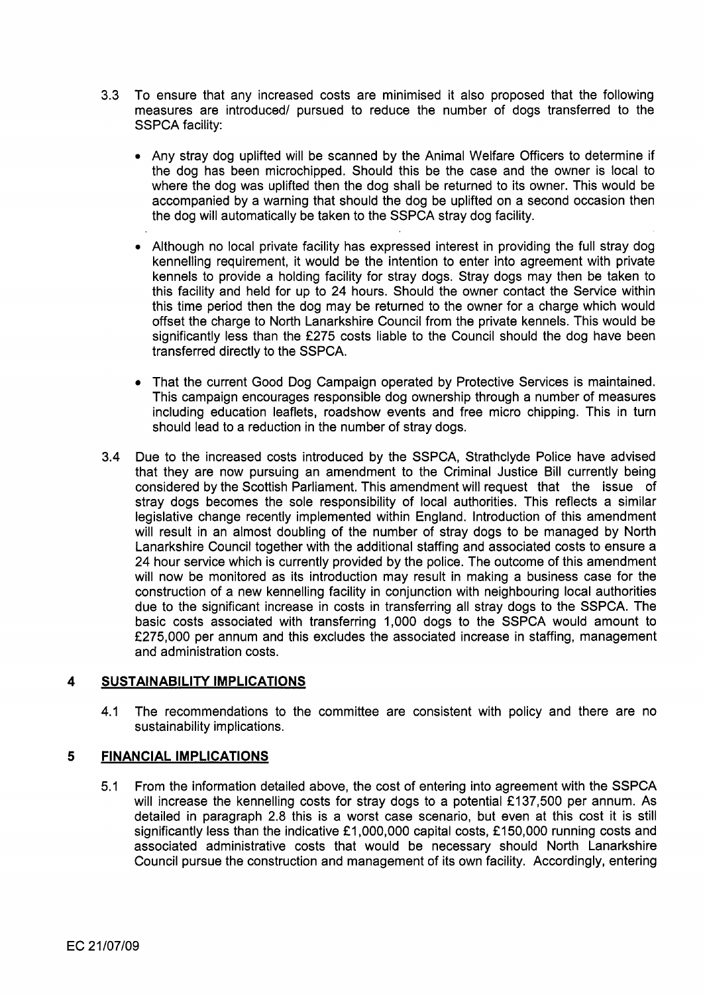- 3.3 To ensure that any increased costs are minimised it also proposed that the following measures are introduced/ pursued to reduce the number of dogs transferred to the SSPCA facility:
	- *0* Any stray dog uplifted will be scanned by the Animal Welfare Officers to determine if the dog has been microchipped. Should this be the case and the owner is local to where the dog was uplifted then the dog shall be returned to its owner. This would be accompanied by a warning that should the dog be uplifted on a second occasion then the dog will automatically be taken to the SSPCA stray dog facility.
	- *<sup>0</sup>*Although no local private facility has expressed interest in providing the full stray dog kennelling requirement, it would be the intention to enter into agreement with private kennels to provide a holding facility for stray dogs. Stray dogs may then be taken to this facility and held for up to 24 hours. Should the owner contact the Service within this time period then the dog may be returned to the owner for a charge which would offset the charge to North Lanarkshire Council from the private kennels. This would be significantly less than the £275 costs liable to the Council should the dog have been transferred directly to the SSPCA.
	- That the current Good Dog Campaign operated by Protective Services is maintained. This campaign encourages responsible dog ownership through a number of measures including education leaflets, roadshow events and free micro chipping. This in turn should lead to a reduction in the number of stray dogs.
- 3.4 Due to the increased costs introduced by the SSPCA, Strathclyde Police have advised that they are now pursuing an amendment to the Criminal Justice Bill currently being considered by the Scottish Parliament. This amendment will request that the issue of stray dogs becomes the sole responsibility of local authorities. This reflects a similar legislative change recently implemented within England. Introduction of this amendment will result in an almost doubling of the number of stray dogs to be managed by North Lanarkshire Council together with the additional staffing and associated costs to ensure a 24 hour service which is currently provided by the police. The outcome of this amendment will now be monitored as its introduction may result in making a business case for the construction of a new kennelling facility in conjunction with neighbouring local authorities due to the significant increase in costs in transferring all stray dogs to the SSPCA. The basic costs associated with transferring 1,000 dogs to the SSPCA would amount to f275,OOO per annum and this excludes the associated increase in staffing, management and administration costs.

# **4 SUSTAINABILITY IMPLICATIONS**

4.1 The recommendations to the committee are consistent with policy and there are no sustain a bility implications.

# **5 FINANCIAL IMPLICATIONS**

**5.1** From the information detailed above, the cost of entering into agreement with the SSPCA will increase the kennelling costs for stray dogs to a potential £137,500 per annum. As detailed in paragraph 2.8 this is a worst case scenario, but even at this cost it is still significantly less than the indicative  $£1,000,000$  capital costs, £150,000 running costs and associated administrative costs that would be necessary should North Lanarkshire Council pursue the construction and management of its own facility. Accordingly, entering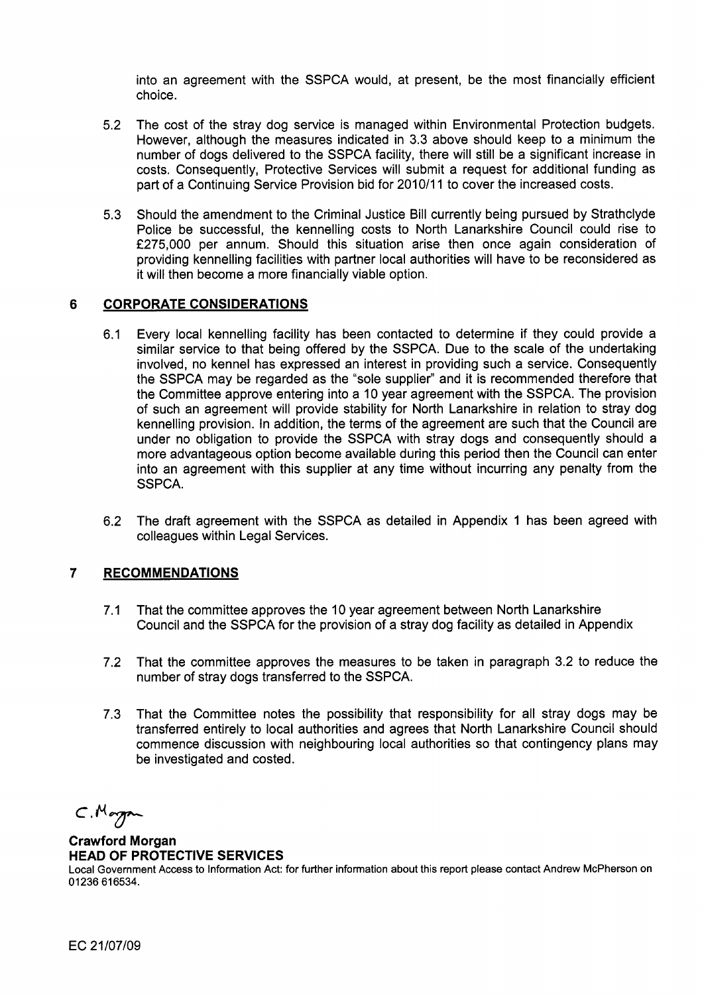into an agreement with the SSPCA would, at present, be the most financially efficient choice.

- 5.2 The cost of the stray dog service is managed within Environmental Protection budgets. However, although the measures indicated in 3.3 above should keep to a minimum the number of dogs delivered to the SSPCA facility, there will still be a significant increase in costs. Consequently, Protective Services will submit a request for additional funding as part of a Continuing Service Provision bid for 2010/11 to cover the increased costs.
- 5.3 Should the amendment to the Criminal Justice Bill currently being pursued by Strathclyde Police be successful, the kennelling costs to North Lanarkshire Council could rise to f275,OOO per annum. Should this situation arise then once again consideration of providing kennelling facilities with partner local authorities will have to be reconsidered as it will then become a more financially viable option.

# **6 CORPORATE CONSIDERATIONS**

- 6.1 Every local kennelling facility has been contacted to determine if they could provide a similar service to that being offered by the SSPCA. Due to the scale of the undertaking involved, no kennel has expressed an interest in providing such a service. Consequently the SSPCA may be regarded as the "sole supplier" and it is recommended therefore that the Committee approve entering into a 10 year agreement with the SSPCA. The provision of such an agreement will provide stability for North Lanarkshire in relation to stray dog kennelling provision. In addition, the terms of the agreement are such that the Council are under no obligation to provide the SSPCA with stray dogs and consequently should a more advantageous option become available during this period then the Council can enter into an agreement with this supplier at any time without incurring any penalty from the SSPCA.
- 6.2 The draft agreement with the SSPCA as detailed in Appendix 1 has been agreed with colleagues within Legal Services.

# **7 RECOMMENDATIONS**

- 7.1 That the committee approves the 10 year agreement between North Lanarkshire Council and the SSPCA for the provision of a stray dog facility as detailed in Appendix
- 7.2 That the committee approves the measures to be taken in paragraph 3.2 to reduce the number of stray dogs transferred to the SSPCA.
- 7.3 That the Committee notes the possibility that responsibility for all stray dogs may be transferred entirely to local authorities and agrees that North Lanarkshire Council should commence discussion with neighbouring local authorities so that contingency plans may be investigated and costed.

 $C.M$ organ

# **Crawford Morgan HEAD OF PROTECTIVE SERVICES**

Local Government Access to Information Act: for further information about this report please contact Andrew McPherson on 01 236 61 **6534.**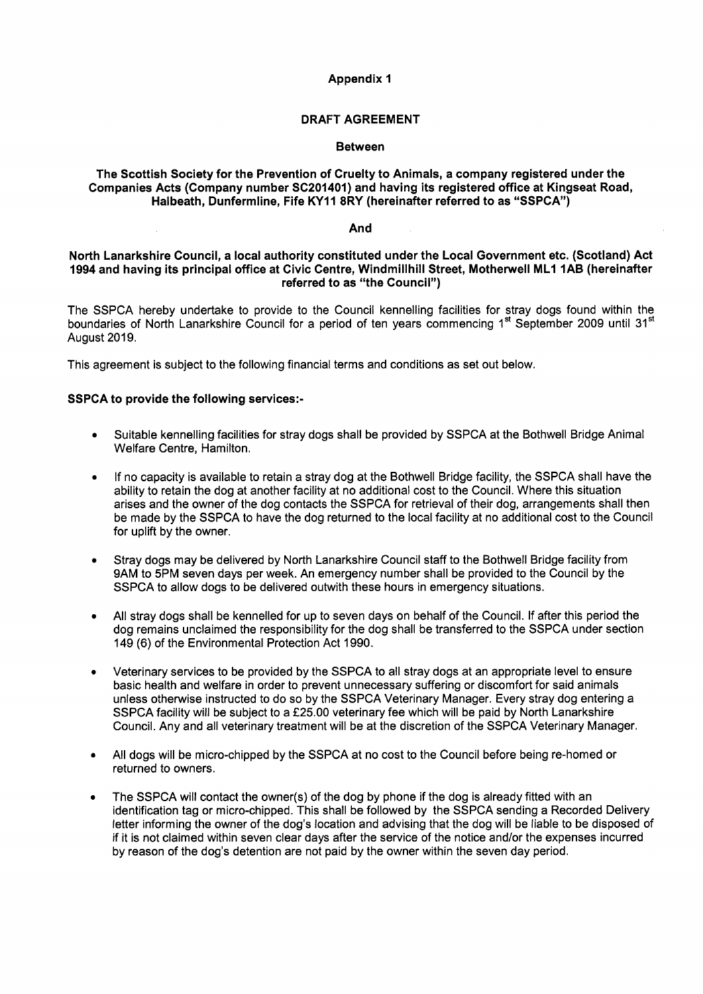#### **Appendix 1**

### **DRAFT AGREEMENT**

#### **Between**

#### **The Scottish Society for the Prevention of Cruelty to Animals, a company registered under the Companies Acts (Company number SC201401) and having its registered office at Kingseat Road, Halbeath, Dunfermline, Fife KY11 8RY (hereinafter referred to as "SSPCA")**

#### **And**

#### **North Lanarkshire Council, a local authority constituted under the Local Government etc. (Scotland) Act 1994 and having its principal office at Civic Centre, Windmillhill Street, Motherwell MLl 1AB (hereinafter referred to as "the Council")**

The SSPCA hereby undertake to provide to the Council kennelling facilities for stray dogs found within the boundaries of North Lanarkshire Council for a period of ten years commencing 1<sup>st</sup> September 2009 until 31<sup>st</sup> August 2019.

This agreement is subject to the following financial terms and conditions as set out below.

#### **SSPCA to provide the following services:-**

- *0* Suitable kennelling facilities for stray dogs shall be provided by SSPCA at the Bothwell Bridge Animal Welfare Centre, Hamilton.
- *<sup>0</sup>*If no capacity is available to retain a stray dog at the Bothwell Bridge facility, the SSPCA shall have the ability to retain the dog at another facility at no additional cost to the Council. Where this situation arises and the owner of the dog contacts the SSPCA for retrieval of their dog, arrangements shall then be made by the SSPCA to have the dog returned to the local facility at no additional cost to the Council for uplift by the owner.
- *<sup>0</sup>*Stray dogs may be delivered by North Lanarkshire Council staff to the Bothwell Bridge facility from 9AM to 5PM seven days per week. An emergency number shall be provided to the Council by the SSPCA to allow dogs to be delivered outwith these hours in emergency situations.
- *<sup>0</sup>*All stray dogs shall be kennelled for up to seven days on behalf of the Council. If after this period the dog remains unclaimed the responsibility for the dog shall be transferred to the SSPCA under section 149 (6) of the Environmental Protection Act 1990.
- *<sup>0</sup>*Veterinary services to be provided by the SSPCA to all stray dogs at an appropriate level to ensure basic health and welfare in order to prevent unnecessary suffering or discomfort for said animals unless otherwise instructed to do **so** by the SSPCA Veterinary Manager. Every stray dog entering a SSPCA facility will be subject to a £25.00 veterinary fee which will be paid by North Lanarkshire Council. Any and all veterinary treatment will be at the discretion of the SSPCA Veterinary Manager
- All dogs will be micro-chipped by the SSPCA at no cost to the Council before being re-homed or returned to owners.
- The SSPCA will contact the owner(s) of the dog by phone if the dog is already fitted with an identification tag or micro-chipped. This shall be followed by the SSPCA sending a Recorded Delivery letter informing the owner of the dog's location and advising that the dog will be liable to be disposed of if it is not claimed within seven clear days after the service of the notice and/or the expenses incurred by reason of the dog's detention are not paid by the owner within the seven day period.